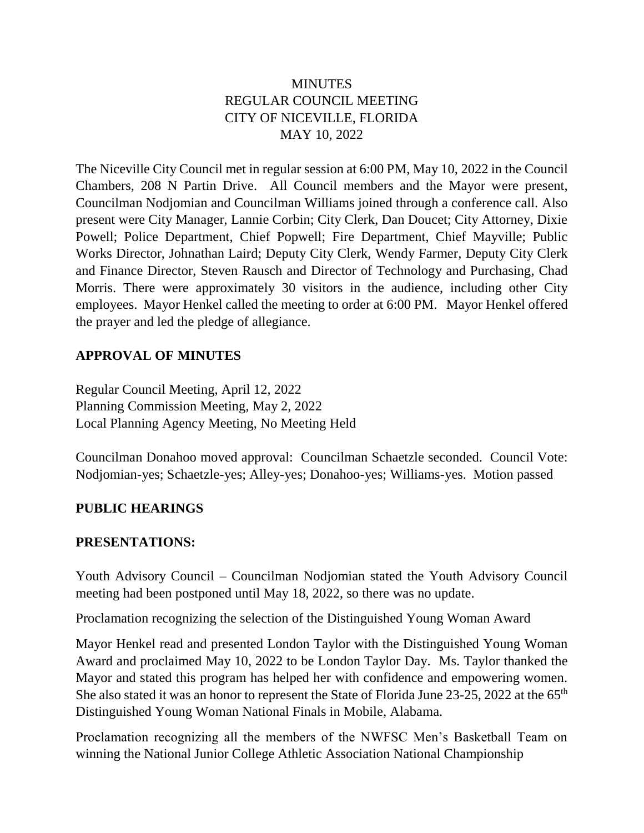# **MINUTES** REGULAR COUNCIL MEETING CITY OF NICEVILLE, FLORIDA MAY 10, 2022

The Niceville City Council met in regular session at 6:00 PM, May 10, 2022 in the Council Chambers, 208 N Partin Drive. All Council members and the Mayor were present, Councilman Nodjomian and Councilman Williams joined through a conference call. Also present were City Manager, Lannie Corbin; City Clerk, Dan Doucet; City Attorney, Dixie Powell; Police Department, Chief Popwell; Fire Department, Chief Mayville; Public Works Director, Johnathan Laird; Deputy City Clerk, Wendy Farmer, Deputy City Clerk and Finance Director, Steven Rausch and Director of Technology and Purchasing, Chad Morris. There were approximately 30 visitors in the audience, including other City employees. Mayor Henkel called the meeting to order at 6:00 PM. Mayor Henkel offered the prayer and led the pledge of allegiance.

### **APPROVAL OF MINUTES**

Regular Council Meeting, April 12, 2022 Planning Commission Meeting, May 2, 2022 Local Planning Agency Meeting, No Meeting Held

Councilman Donahoo moved approval: Councilman Schaetzle seconded. Council Vote: Nodjomian-yes; Schaetzle-yes; Alley-yes; Donahoo-yes; Williams-yes. Motion passed

### **PUBLIC HEARINGS**

### **PRESENTATIONS:**

Youth Advisory Council – Councilman Nodjomian stated the Youth Advisory Council meeting had been postponed until May 18, 2022, so there was no update.

Proclamation recognizing the selection of the Distinguished Young Woman Award

Mayor Henkel read and presented London Taylor with the Distinguished Young Woman Award and proclaimed May 10, 2022 to be London Taylor Day. Ms. Taylor thanked the Mayor and stated this program has helped her with confidence and empowering women. She also stated it was an honor to represent the State of Florida June 23-25, 2022 at the 65<sup>th</sup> Distinguished Young Woman National Finals in Mobile, Alabama.

Proclamation recognizing all the members of the NWFSC Men's Basketball Team on winning the National Junior College Athletic Association National Championship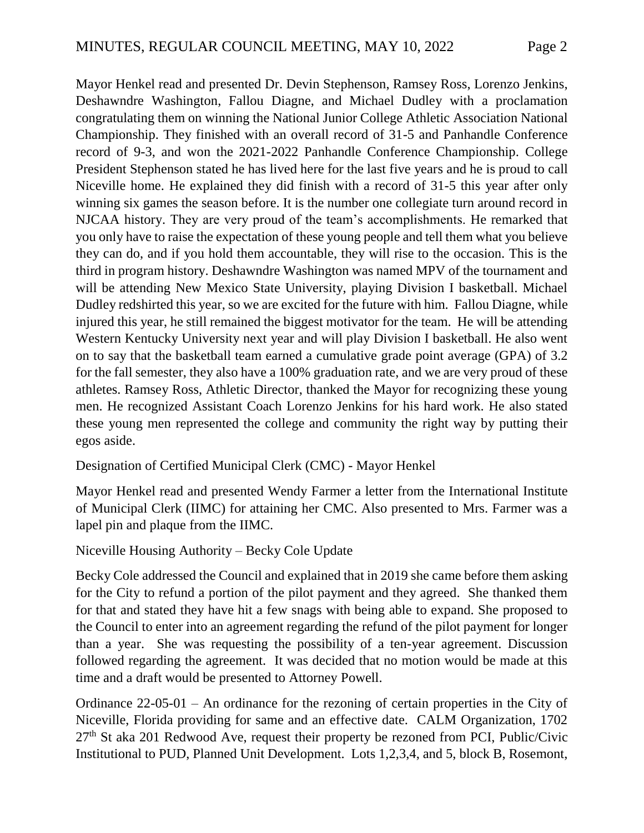Mayor Henkel read and presented Dr. Devin Stephenson, Ramsey Ross, Lorenzo Jenkins, Deshawndre Washington, Fallou Diagne, and Michael Dudley with a proclamation congratulating them on winning the National Junior College Athletic Association National Championship. They finished with an overall record of 31-5 and Panhandle Conference record of 9-3, and won the 2021-2022 Panhandle Conference Championship. College President Stephenson stated he has lived here for the last five years and he is proud to call Niceville home. He explained they did finish with a record of 31-5 this year after only winning six games the season before. It is the number one collegiate turn around record in NJCAA history. They are very proud of the team's accomplishments. He remarked that you only have to raise the expectation of these young people and tell them what you believe they can do, and if you hold them accountable, they will rise to the occasion. This is the third in program history. Deshawndre Washington was named MPV of the tournament and will be attending New Mexico State University, playing Division I basketball. Michael Dudley redshirted this year, so we are excited for the future with him. Fallou Diagne, while injured this year, he still remained the biggest motivator for the team. He will be attending Western Kentucky University next year and will play Division I basketball. He also went on to say that the basketball team earned a cumulative grade point average (GPA) of 3.2 for the fall semester, they also have a 100% graduation rate, and we are very proud of these athletes. Ramsey Ross, Athletic Director, thanked the Mayor for recognizing these young men. He recognized Assistant Coach Lorenzo Jenkins for his hard work. He also stated these young men represented the college and community the right way by putting their egos aside.

Designation of Certified Municipal Clerk (CMC) - Mayor Henkel

Mayor Henkel read and presented Wendy Farmer a letter from the International Institute of Municipal Clerk (IIMC) for attaining her CMC. Also presented to Mrs. Farmer was a lapel pin and plaque from the IIMC.

Niceville Housing Authority – Becky Cole Update

Becky Cole addressed the Council and explained that in 2019 she came before them asking for the City to refund a portion of the pilot payment and they agreed. She thanked them for that and stated they have hit a few snags with being able to expand. She proposed to the Council to enter into an agreement regarding the refund of the pilot payment for longer than a year. She was requesting the possibility of a ten-year agreement. Discussion followed regarding the agreement. It was decided that no motion would be made at this time and a draft would be presented to Attorney Powell.

Ordinance 22-05-01 – An ordinance for the rezoning of certain properties in the City of Niceville, Florida providing for same and an effective date. CALM Organization, 1702  $27<sup>th</sup>$  St aka 201 Redwood Ave, request their property be rezoned from PCI, Public/Civic Institutional to PUD, Planned Unit Development. Lots 1,2,3,4, and 5, block B, Rosemont,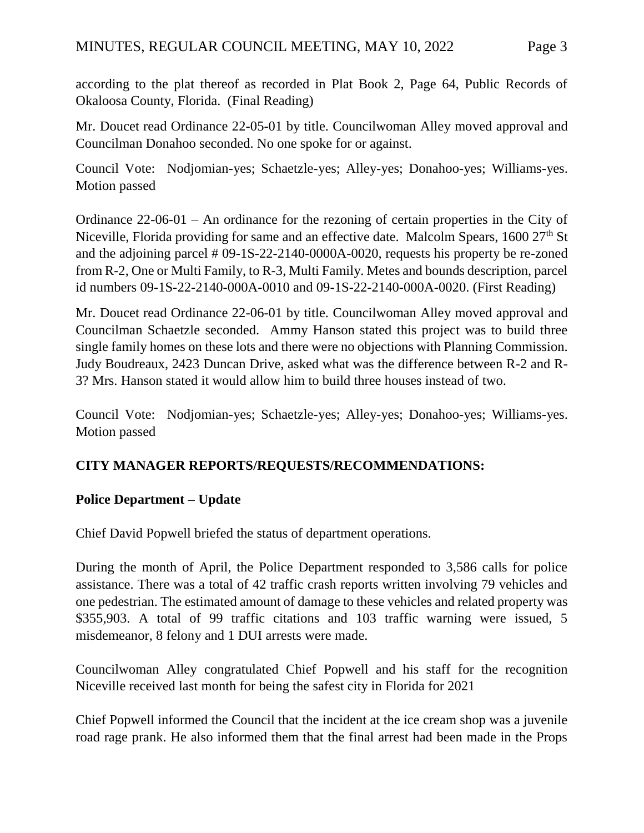according to the plat thereof as recorded in Plat Book 2, Page 64, Public Records of Okaloosa County, Florida. (Final Reading)

Mr. Doucet read Ordinance 22-05-01 by title. Councilwoman Alley moved approval and Councilman Donahoo seconded. No one spoke for or against.

Council Vote: Nodjomian-yes; Schaetzle-yes; Alley-yes; Donahoo-yes; Williams-yes. Motion passed

Ordinance 22-06-01 – An ordinance for the rezoning of certain properties in the City of Niceville, Florida providing for same and an effective date. Malcolm Spears, 1600 27<sup>th</sup> St and the adjoining parcel # 09-1S-22-2140-0000A-0020, requests his property be re-zoned from R-2, One or Multi Family, to R-3, Multi Family. Metes and bounds description, parcel id numbers 09-1S-22-2140-000A-0010 and 09-1S-22-2140-000A-0020. (First Reading)

Mr. Doucet read Ordinance 22-06-01 by title. Councilwoman Alley moved approval and Councilman Schaetzle seconded. Ammy Hanson stated this project was to build three single family homes on these lots and there were no objections with Planning Commission. Judy Boudreaux, 2423 Duncan Drive, asked what was the difference between R-2 and R-3? Mrs. Hanson stated it would allow him to build three houses instead of two.

Council Vote: Nodjomian-yes; Schaetzle-yes; Alley-yes; Donahoo-yes; Williams-yes. Motion passed

# **CITY MANAGER REPORTS/REQUESTS/RECOMMENDATIONS:**

# **Police Department – Update**

Chief David Popwell briefed the status of department operations.

During the month of April, the Police Department responded to 3,586 calls for police assistance. There was a total of 42 traffic crash reports written involving 79 vehicles and one pedestrian. The estimated amount of damage to these vehicles and related property was \$355,903. A total of 99 traffic citations and 103 traffic warning were issued, 5 misdemeanor, 8 felony and 1 DUI arrests were made.

Councilwoman Alley congratulated Chief Popwell and his staff for the recognition Niceville received last month for being the safest city in Florida for 2021

Chief Popwell informed the Council that the incident at the ice cream shop was a juvenile road rage prank. He also informed them that the final arrest had been made in the Props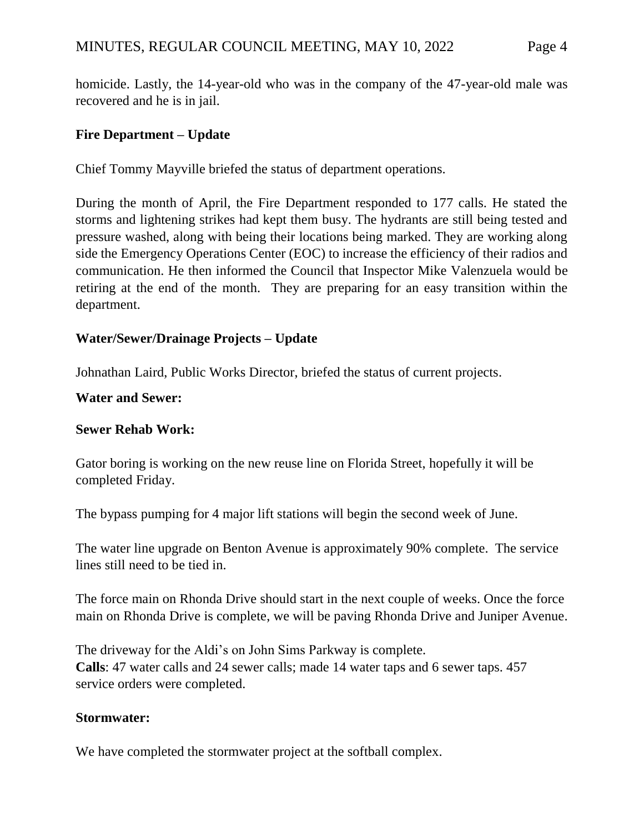homicide. Lastly, the 14-year-old who was in the company of the 47-year-old male was recovered and he is in jail.

### **Fire Department – Update**

Chief Tommy Mayville briefed the status of department operations.

During the month of April, the Fire Department responded to 177 calls. He stated the storms and lightening strikes had kept them busy. The hydrants are still being tested and pressure washed, along with being their locations being marked. They are working along side the Emergency Operations Center (EOC) to increase the efficiency of their radios and communication. He then informed the Council that Inspector Mike Valenzuela would be retiring at the end of the month. They are preparing for an easy transition within the department.

### **Water/Sewer/Drainage Projects – Update**

Johnathan Laird, Public Works Director, briefed the status of current projects.

### **Water and Sewer:**

# **Sewer Rehab Work:**

Gator boring is working on the new reuse line on Florida Street, hopefully it will be completed Friday.

The bypass pumping for 4 major lift stations will begin the second week of June.

The water line upgrade on Benton Avenue is approximately 90% complete. The service lines still need to be tied in.

The force main on Rhonda Drive should start in the next couple of weeks. Once the force main on Rhonda Drive is complete, we will be paving Rhonda Drive and Juniper Avenue.

The driveway for the Aldi's on John Sims Parkway is complete. **Calls**: 47 water calls and 24 sewer calls; made 14 water taps and 6 sewer taps. 457 service orders were completed.

### **Stormwater:**

We have completed the stormwater project at the softball complex.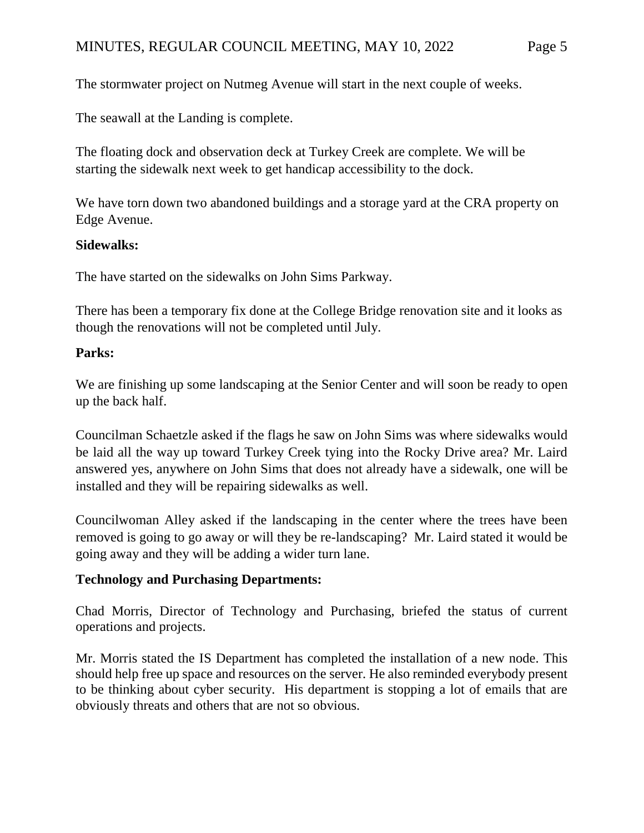The stormwater project on Nutmeg Avenue will start in the next couple of weeks.

The seawall at the Landing is complete.

The floating dock and observation deck at Turkey Creek are complete. We will be starting the sidewalk next week to get handicap accessibility to the dock.

We have torn down two abandoned buildings and a storage yard at the CRA property on Edge Avenue.

### **Sidewalks:**

The have started on the sidewalks on John Sims Parkway.

There has been a temporary fix done at the College Bridge renovation site and it looks as though the renovations will not be completed until July.

### **Parks:**

We are finishing up some landscaping at the Senior Center and will soon be ready to open up the back half.

Councilman Schaetzle asked if the flags he saw on John Sims was where sidewalks would be laid all the way up toward Turkey Creek tying into the Rocky Drive area? Mr. Laird answered yes, anywhere on John Sims that does not already have a sidewalk, one will be installed and they will be repairing sidewalks as well.

Councilwoman Alley asked if the landscaping in the center where the trees have been removed is going to go away or will they be re-landscaping? Mr. Laird stated it would be going away and they will be adding a wider turn lane.

# **Technology and Purchasing Departments:**

Chad Morris, Director of Technology and Purchasing, briefed the status of current operations and projects.

Mr. Morris stated the IS Department has completed the installation of a new node. This should help free up space and resources on the server. He also reminded everybody present to be thinking about cyber security. His department is stopping a lot of emails that are obviously threats and others that are not so obvious.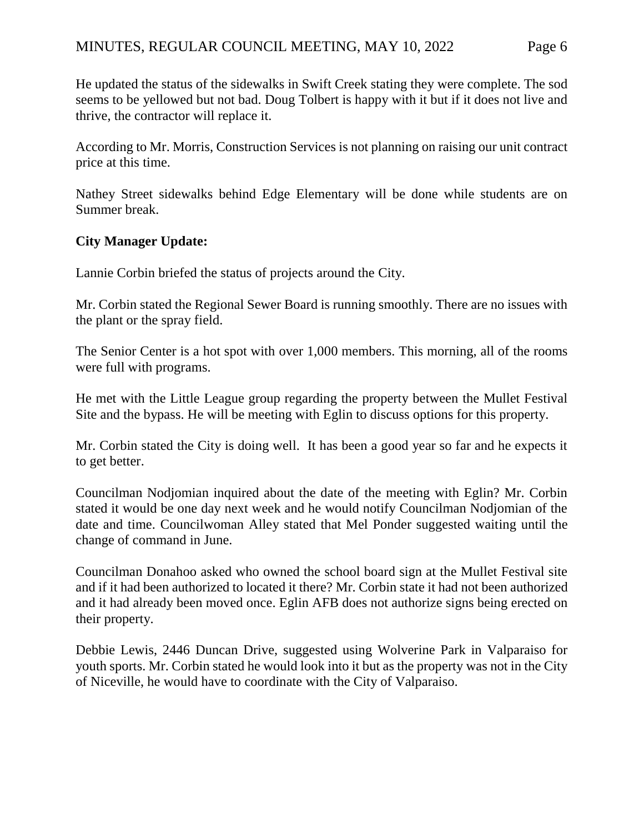He updated the status of the sidewalks in Swift Creek stating they were complete. The sod seems to be yellowed but not bad. Doug Tolbert is happy with it but if it does not live and thrive, the contractor will replace it.

According to Mr. Morris, Construction Services is not planning on raising our unit contract price at this time.

Nathey Street sidewalks behind Edge Elementary will be done while students are on Summer break.

# **City Manager Update:**

Lannie Corbin briefed the status of projects around the City.

Mr. Corbin stated the Regional Sewer Board is running smoothly. There are no issues with the plant or the spray field.

The Senior Center is a hot spot with over 1,000 members. This morning, all of the rooms were full with programs.

He met with the Little League group regarding the property between the Mullet Festival Site and the bypass. He will be meeting with Eglin to discuss options for this property.

Mr. Corbin stated the City is doing well. It has been a good year so far and he expects it to get better.

Councilman Nodjomian inquired about the date of the meeting with Eglin? Mr. Corbin stated it would be one day next week and he would notify Councilman Nodjomian of the date and time. Councilwoman Alley stated that Mel Ponder suggested waiting until the change of command in June.

Councilman Donahoo asked who owned the school board sign at the Mullet Festival site and if it had been authorized to located it there? Mr. Corbin state it had not been authorized and it had already been moved once. Eglin AFB does not authorize signs being erected on their property.

Debbie Lewis, 2446 Duncan Drive, suggested using Wolverine Park in Valparaiso for youth sports. Mr. Corbin stated he would look into it but as the property was not in the City of Niceville, he would have to coordinate with the City of Valparaiso.